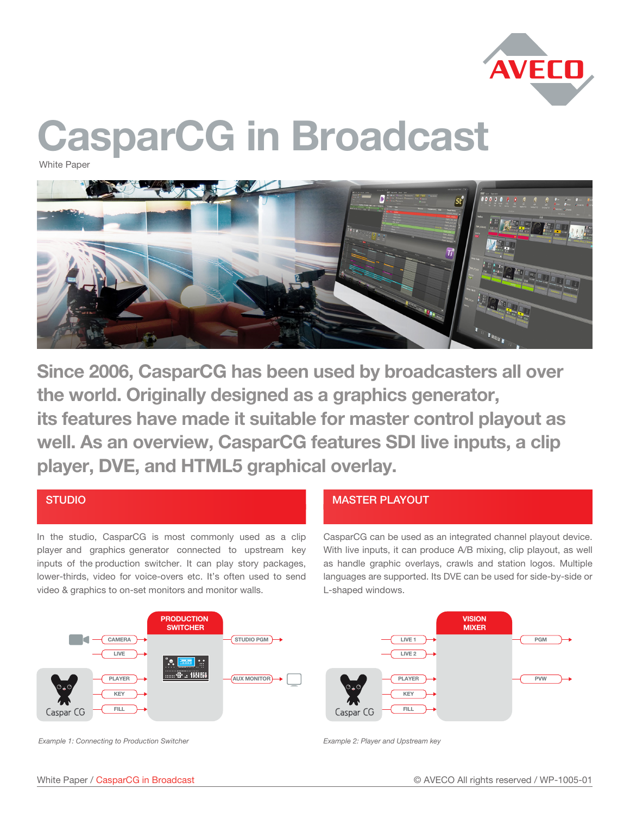

# CasparCG in Broadcast

White Paper



Since 2006, CasparCG has been used by broadcasters all over the world. Originally designed as a graphics generator, its features have made it suitable for master control playout as well. As an overview, CasparCG features SDI live inputs, a clip player, DVE, and HTML5 graphical overlay.

### STUDIO

In the studio, CasparCG is most commonly used as a clip player and graphics generator connected to upstream key inputs of the production switcher. It can play story packages, lower-thirds, video for voice-overs etc. It's often used to send video & graphics to on-set monitors and monitor walls.

## MASTER PLAYOUT

CasparCG can be used as an integrated channel playout device. With live inputs, it can produce A/B mixing, clip playout, as well as handle graphic overlays, crawls and station logos. Multiple languages are supported. Its DVE can be used for side-by-side or L-shaped windows.



*Example 1: Connecting to Production Switcher Example 2: Player and Upstream key*